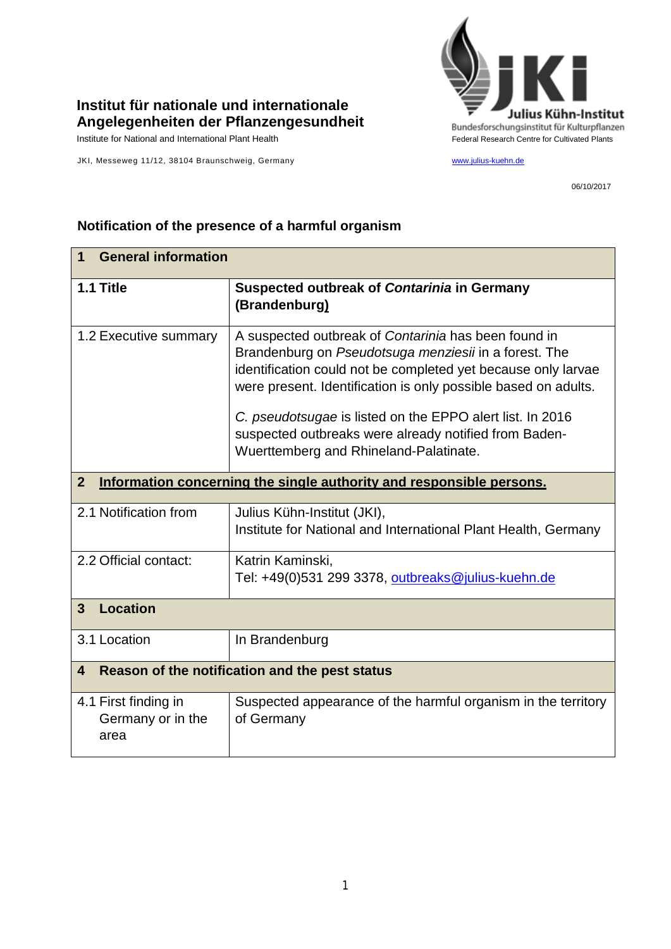

## **Institut für nationale und internationale Angelegenheiten der Pflanzengesundheit**

Institute for National and International Plant Health Feature And Theorem Federal Research Centre for Cultivated Plants

JKI, Messeweg 11/12, 38104 Braunschweig, Germany [www.julius-kuehn.de](http://www.julius-kuehn.de/)

06/10/2017

## **1 General information 1.1 Title Suspected outbreak of** *Contarinia* **in Germany (Brandenburg)** 1.2 Executive summary A suspected outbreak of *Contarinia* has been found in Brandenburg on *Pseudotsuga menziesii* in a forest. The identification could not be completed yet because only larvae were present. Identification is only possible based on adults. *C. pseudotsugae* is listed on the EPPO alert list. In 2016 suspected outbreaks were already notified from Baden-Wuerttemberg and Rhineland-Palatinate. **2 Information concerning the single authority and responsible persons.** 2.1 Notification from Julius Kühn-Institut (JKI), Institute for National and International Plant Health, Germany 2.2 Official contact: Katrin Kaminski, Tel: +49(0)531 299 3378, [outbreaks@julius-kuehn.de](mailto:outbreaks@julius-kuehn.de) **3 Location**  3.1 Location | In Brandenburg **4 Reason of the notification and the pest status** 4.1 First finding in Germany or in the area Suspected appearance of the harmful organism in the territory of Germany

## **Notification of the presence of a harmful organism**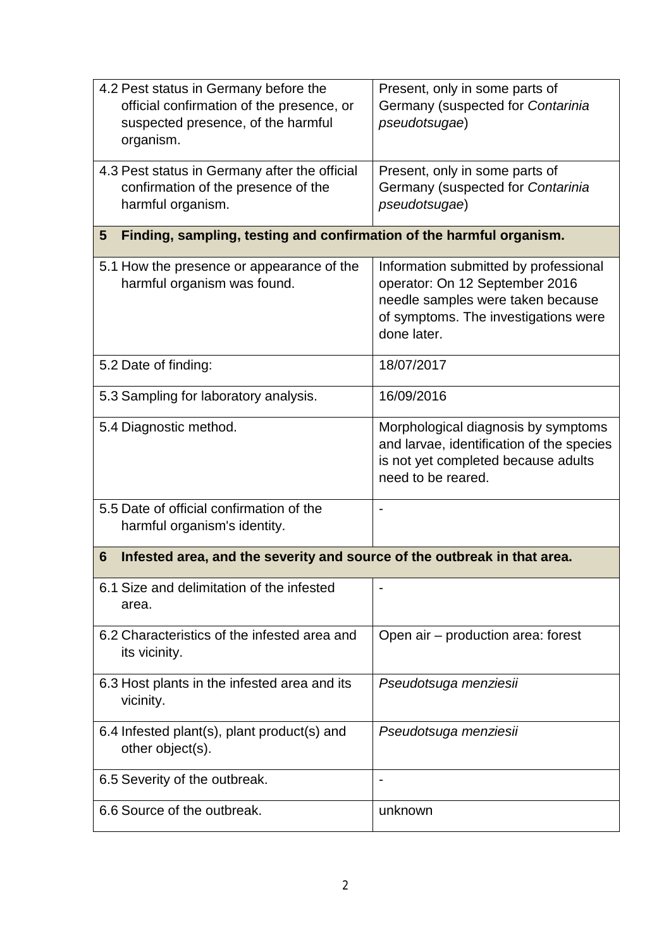| 4.2 Pest status in Germany before the<br>official confirmation of the presence, or<br>suspected presence, of the harmful<br>organism. | Present, only in some parts of<br>Germany (suspected for Contarinia<br>pseudotsugae)                                                                                |  |
|---------------------------------------------------------------------------------------------------------------------------------------|---------------------------------------------------------------------------------------------------------------------------------------------------------------------|--|
| 4.3 Pest status in Germany after the official<br>confirmation of the presence of the<br>harmful organism.                             | Present, only in some parts of<br>Germany (suspected for Contarinia<br>pseudotsugae)                                                                                |  |
| Finding, sampling, testing and confirmation of the harmful organism.<br>5                                                             |                                                                                                                                                                     |  |
| 5.1 How the presence or appearance of the<br>harmful organism was found.                                                              | Information submitted by professional<br>operator: On 12 September 2016<br>needle samples were taken because<br>of symptoms. The investigations were<br>done later. |  |
| 5.2 Date of finding:                                                                                                                  | 18/07/2017                                                                                                                                                          |  |
| 5.3 Sampling for laboratory analysis.                                                                                                 | 16/09/2016                                                                                                                                                          |  |
| 5.4 Diagnostic method.                                                                                                                | Morphological diagnosis by symptoms<br>and larvae, identification of the species<br>is not yet completed because adults<br>need to be reared.                       |  |
| 5.5 Date of official confirmation of the<br>harmful organism's identity.                                                              |                                                                                                                                                                     |  |
| Infested area, and the severity and source of the outbreak in that area.<br>6                                                         |                                                                                                                                                                     |  |
| 6.1 Size and delimitation of the infested<br>area.                                                                                    |                                                                                                                                                                     |  |
| 6.2 Characteristics of the infested area and<br>its vicinity.                                                                         | Open air - production area: forest                                                                                                                                  |  |
| 6.3 Host plants in the infested area and its<br>vicinity.                                                                             | Pseudotsuga menziesii                                                                                                                                               |  |
| 6.4 Infested plant(s), plant product(s) and<br>other object(s).                                                                       | Pseudotsuga menziesii                                                                                                                                               |  |
| 6.5 Severity of the outbreak.                                                                                                         |                                                                                                                                                                     |  |
| 6.6 Source of the outbreak.                                                                                                           | unknown                                                                                                                                                             |  |